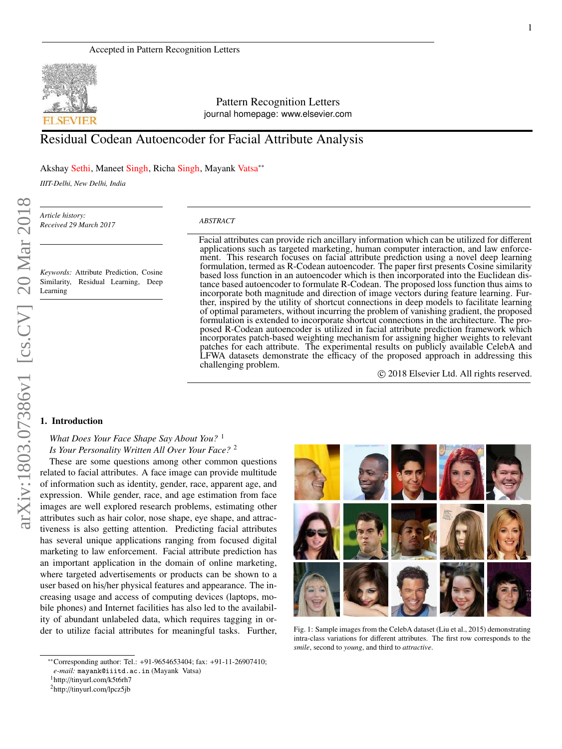

Pattern Recognition Letters journal homepage: www.elsevier.com

# Residual Codean Autoencoder for Facial Attribute Analysis

Akshay Sethi, Maneet Singh, Richa Singh, Mayank Vatsa∗∗

*IIIT-Delhi, New Delhi, India*

*Article history: Received 29 March 2017*

*Keywords:* Attribute Prediction, Cosine Similarity, Residual Learning, Deep Learning

#### *ABSTRACT*

Facial attributes can provide rich ancillary information which can be utilized for different applications such as targeted marketing, human computer interaction, and law enforcement. This research focuses on facial attribute prediction using a novel deep learning formulation, termed as R-Codean autoencoder. The paper first presents Cosine similarity based loss function in an autoencoder which is then incorporated into the Euclidean distance based autoencoder to formulate R-Codean. The proposed loss function thus aims to incorporate both magnitude and direction of image vectors during feature learning. Further, inspired by the utility of shortcut connections in deep models to facilitate learning of optimal parameters, without incurring the problem of vanishing gradient, the proposed formulation is extended to incorporate shortcut connections in the architecture. The proposed R-Codean autoencoder is utilized in facial attribute prediction framework which incorporates patch-based weighting mechanism for assigning higher weights to relevant patches for each attribute. The experimental results on publicly available CelebA and LFWA datasets demonstrate the efficacy of the proposed approach in addressing this challenging problem.

c 2018 Elsevier Ltd. All rights reserved.

#### 1. Introduction

# *What Does Your Face Shape Say About You?* <sup>1</sup> *Is Your Personality Written All Over Your Face?* <sup>2</sup>

These are some questions among other common questions related to facial attributes. A face image can provide multitude of information such as identity, gender, race, apparent age, and expression. While gender, race, and age estimation from face images are well explored research problems, estimating other attributes such as hair color, nose shape, eye shape, and attractiveness is also getting attention. Predicting facial attributes has several unique applications ranging from focused digital marketing to law enforcement. Facial attribute prediction has an important application in the domain of online marketing, where targeted advertisements or products can be shown to a user based on his/her physical features and appearance. The increasing usage and access of computing devices (laptops, mobile phones) and Internet facilities has also led to the availability of abundant unlabeled data, which requires tagging in order to utilize facial attributes for meaningful tasks. Further,



Fig. 1: Sample images from the CelebA dataset (Liu et al., 2015) demonstrating intra-class variations for different attributes. The first row corresponds to the *smile*, second to *young*, and third to *attractive*.

<sup>∗∗</sup>Corresponding author: Tel.: +91-9654653404; fax: +91-11-26907410; *e-mail:* mayank@iiitd.ac.in (Mayank Vatsa)

<sup>1</sup>http://tinyurl.com/k5t6rh7

<sup>2</sup>http://tinyurl.com/lpcz5jb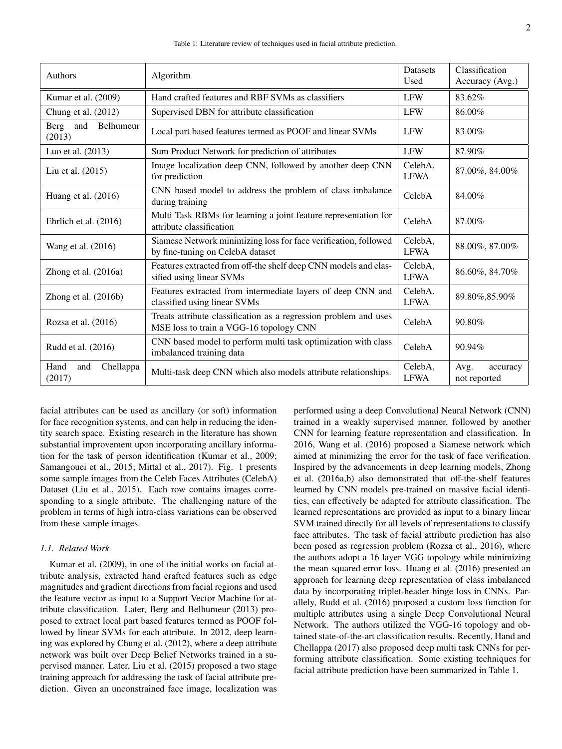| Authors                            | Algorithm                                                                                                   | <b>Datasets</b><br>Used | Classification<br>Accuracy (Avg.) |
|------------------------------------|-------------------------------------------------------------------------------------------------------------|-------------------------|-----------------------------------|
| Kumar et al. (2009)                | Hand crafted features and RBF SVMs as classifiers                                                           | <b>LFW</b>              | 83.62%                            |
| Chung et al. (2012)                | Supervised DBN for attribute classification                                                                 | <b>LFW</b>              | 86.00%                            |
| Belhumeur<br>Berg<br>and<br>(2013) | Local part based features termed as POOF and linear SVMs                                                    | <b>LFW</b>              | 83.00%                            |
| Luo et al. (2013)                  | Sum Product Network for prediction of attributes                                                            | <b>LFW</b>              | 87.90%                            |
| Liu et al. (2015)                  | Image localization deep CNN, followed by another deep CNN<br>for prediction                                 | CelebA.<br><b>LFWA</b>  | 87.00%, 84.00%                    |
| Huang et al. $(2016)$              | CNN based model to address the problem of class imbalance<br>during training                                | CelebA                  | 84.00%                            |
| Ehrlich et al. (2016)              | Multi Task RBMs for learning a joint feature representation for<br>attribute classification                 | CelebA                  | 87.00%                            |
| Wang et al. (2016)                 | Siamese Network minimizing loss for face verification, followed<br>by fine-tuning on CelebA dataset         | CelebA,<br><b>LFWA</b>  | 88.00%, 87.00%                    |
| Zhong et al. (2016a)               | Features extracted from off-the shelf deep CNN models and clas-<br>sified using linear SVMs                 | CelebA,<br><b>LFWA</b>  | 86.60%, 84.70%                    |
| Zhong et al. (2016b)               | Features extracted from intermediate layers of deep CNN and<br>classified using linear SVMs                 | CelebA.<br><b>LFWA</b>  | 89.80%, 85.90%                    |
| Rozsa et al. $(2016)$              | Treats attribute classification as a regression problem and uses<br>MSE loss to train a VGG-16 topology CNN | CelebA                  | 90.80%                            |
| Rudd et al. (2016)                 | CNN based model to perform multi task optimization with class<br>imbalanced training data                   | CelebA                  | 90.94%                            |
| Hand<br>Chellappa<br>and<br>(2017) | Multi-task deep CNN which also models attribute relationships.                                              | CelebA,<br><b>LFWA</b>  | Avg.<br>accuracy<br>not reported  |

facial attributes can be used as ancillary (or soft) information for face recognition systems, and can help in reducing the identity search space. Existing research in the literature has shown substantial improvement upon incorporating ancillary information for the task of person identification (Kumar et al., 2009; Samangouei et al., 2015; Mittal et al., 2017). Fig. 1 presents some sample images from the Celeb Faces Attributes (CelebA) Dataset (Liu et al., 2015). Each row contains images corresponding to a single attribute. The challenging nature of the problem in terms of high intra-class variations can be observed from these sample images.

# *1.1. Related Work*

Kumar et al. (2009), in one of the initial works on facial attribute analysis, extracted hand crafted features such as edge magnitudes and gradient directions from facial regions and used the feature vector as input to a Support Vector Machine for attribute classification. Later, Berg and Belhumeur (2013) proposed to extract local part based features termed as POOF followed by linear SVMs for each attribute. In 2012, deep learning was explored by Chung et al. (2012), where a deep attribute network was built over Deep Belief Networks trained in a supervised manner. Later, Liu et al. (2015) proposed a two stage training approach for addressing the task of facial attribute prediction. Given an unconstrained face image, localization was performed using a deep Convolutional Neural Network (CNN) trained in a weakly supervised manner, followed by another CNN for learning feature representation and classification. In 2016, Wang et al. (2016) proposed a Siamese network which aimed at minimizing the error for the task of face verification. Inspired by the advancements in deep learning models, Zhong et al. (2016a,b) also demonstrated that off-the-shelf features learned by CNN models pre-trained on massive facial identities, can effectively be adapted for attribute classification. The learned representations are provided as input to a binary linear SVM trained directly for all levels of representations to classify face attributes. The task of facial attribute prediction has also been posed as regression problem (Rozsa et al., 2016), where the authors adopt a 16 layer VGG topology while minimizing the mean squared error loss. Huang et al. (2016) presented an approach for learning deep representation of class imbalanced data by incorporating triplet-header hinge loss in CNNs. Parallely, Rudd et al. (2016) proposed a custom loss function for multiple attributes using a single Deep Convolutional Neural Network. The authors utilized the VGG-16 topology and obtained state-of-the-art classification results. Recently, Hand and Chellappa (2017) also proposed deep multi task CNNs for performing attribute classification. Some existing techniques for facial attribute prediction have been summarized in Table 1.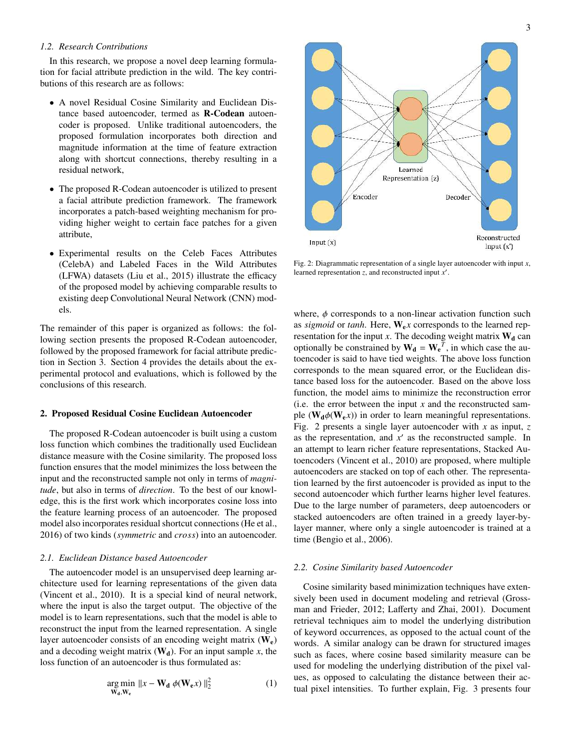## *1.2. Research Contributions*

In this research, we propose a novel deep learning formulation for facial attribute prediction in the wild. The key contributions of this research are as follows:

- A novel Residual Cosine Similarity and Euclidean Distance based autoencoder, termed as R-Codean autoencoder is proposed. Unlike traditional autoencoders, the proposed formulation incorporates both direction and magnitude information at the time of feature extraction along with shortcut connections, thereby resulting in a residual network,
- The proposed R-Codean autoencoder is utilized to present a facial attribute prediction framework. The framework incorporates a patch-based weighting mechanism for providing higher weight to certain face patches for a given attribute,
- Experimental results on the Celeb Faces Attributes (CelebA) and Labeled Faces in the Wild Attributes (LFWA) datasets (Liu et al., 2015) illustrate the efficacy of the proposed model by achieving comparable results to existing deep Convolutional Neural Network (CNN) models.

The remainder of this paper is organized as follows: the following section presents the proposed R-Codean autoencoder, followed by the proposed framework for facial attribute prediction in Section 3. Section 4 provides the details about the experimental protocol and evaluations, which is followed by the conclusions of this research.

## 2. Proposed Residual Cosine Euclidean Autoencoder

The proposed R-Codean autoencoder is built using a custom loss function which combines the traditionally used Euclidean distance measure with the Cosine similarity. The proposed loss function ensures that the model minimizes the loss between the input and the reconstructed sample not only in terms of *magnitude*, but also in terms of *direction*. To the best of our knowledge, this is the first work which incorporates cosine loss into the feature learning process of an autoencoder. The proposed model also incorporates residual shortcut connections (He et al., 2016) of two kinds (*symmetric* and *cross*) into an autoencoder.

#### *2.1. Euclidean Distance based Autoencoder*

The autoencoder model is an unsupervised deep learning architecture used for learning representations of the given data (Vincent et al., 2010). It is a special kind of neural network, where the input is also the target output. The objective of the model is to learn representations, such that the model is able to reconstruct the input from the learned representation. A single layer autoencoder consists of an encoding weight matrix  $(W_e)$ and a decoding weight matrix  $(\mathbf{W}_d)$ . For an input sample *x*, the loss function of an autoencoder is thus formulated as:

$$
\underset{\mathbf{W}_\mathbf{d}, \mathbf{W}_\mathbf{e}}{\arg \min} \ \|x - \mathbf{W}_\mathbf{d} \ \phi(\mathbf{W}_\mathbf{e} x) \|_2^2 \tag{1}
$$



Fig. 2: Diagrammatic representation of a single layer autoencoder with input *x*, learned representation *z*, and reconstructed input *x* ′ .

where,  $\phi$  corresponds to a non-linear activation function such as *sigmoid* or *tanh*. Here,  $W_e x$  corresponds to the learned representation for the input  $x$ . The decoding weight matrix  $W_d$  can optionally be constrained by  $W_d = W_e^T$ , in which case the autoencoder is said to have tied weights. The above loss function corresponds to the mean squared error, or the Euclidean distance based loss for the autoencoder. Based on the above loss function, the model aims to minimize the reconstruction error (i.e. the error between the input *x* and the reconstructed sample ( $W_d \phi(W_e x)$ ) in order to learn meaningful representations. Fig. 2 presents a single layer autoencoder with *x* as input, *z* as the representation, and  $x'$  as the reconstructed sample. In an attempt to learn richer feature representations, Stacked Autoencoders (Vincent et al., 2010) are proposed, where multiple autoencoders are stacked on top of each other. The representation learned by the first autoencoder is provided as input to the second autoencoder which further learns higher level features. Due to the large number of parameters, deep autoencoders or stacked autoencoders are often trained in a greedy layer-bylayer manner, where only a single autoencoder is trained at a time (Bengio et al., 2006).

## *2.2. Cosine Similarity based Autoencoder*

Cosine similarity based minimization techniques have extensively been used in document modeling and retrieval (Grossman and Frieder, 2012; Lafferty and Zhai, 2001). Document retrieval techniques aim to model the underlying distribution of keyword occurrences, as opposed to the actual count of the words. A similar analogy can be drawn for structured images such as faces, where cosine based similarity measure can be used for modeling the underlying distribution of the pixel values, as opposed to calculating the distance between their actual pixel intensities. To further explain, Fig. 3 presents four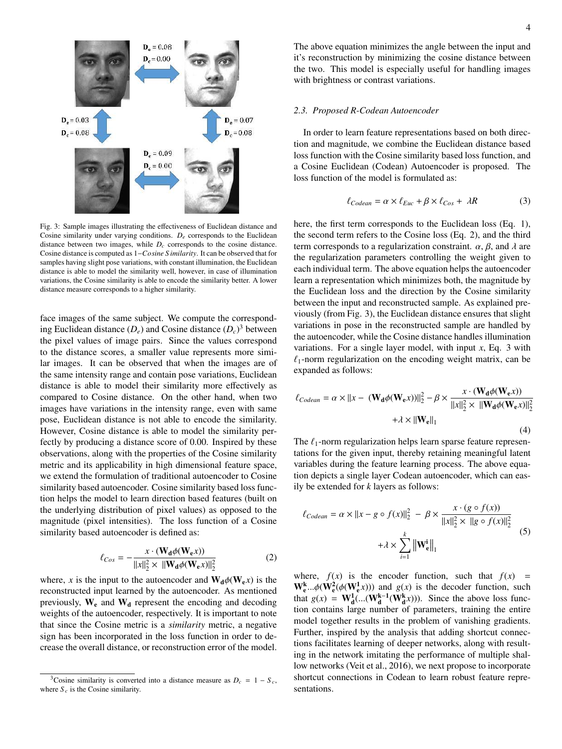

Fig. 3: Sample images illustrating the effectiveness of Euclidean distance and Cosine similarity under varying conditions.  $D_e$  corresponds to the Euclidean distance between two images, while  $D_c$  corresponds to the cosine distance. Cosine distance is computed as 1−*Cosine S imilarity*. It can be observed that for samples having slight pose variations, with constant illumination, the Euclidean distance is able to model the similarity well, however, in case of illumination variations, the Cosine similarity is able to encode the similarity better. A lower distance measure corresponds to a higher similarity.

face images of the same subject. We compute the corresponding Euclidean distance  $(D_e)$  and Cosine distance  $(D_c)^3$  between the pixel values of image pairs. Since the values correspond to the distance scores, a smaller value represents more similar images. It can be observed that when the images are of the same intensity range and contain pose variations, Euclidean distance is able to model their similarity more effectively as compared to Cosine distance. On the other hand, when two images have variations in the intensity range, even with same pose, Euclidean distance is not able to encode the similarity. However, Cosine distance is able to model the similarity perfectly by producing a distance score of 0.00. Inspired by these observations, along with the properties of the Cosine similarity metric and its applicability in high dimensional feature space, we extend the formulation of traditional autoencoder to Cosine similarity based autoencoder. Cosine similarity based loss function helps the model to learn direction based features (built on the underlying distribution of pixel values) as opposed to the magnitude (pixel intensities). The loss function of a Cosine similarity based autoencoder is defined as:

$$
\ell_{Cos} = -\frac{x \cdot (\mathbf{W}_\mathbf{d} \phi(\mathbf{W}_\mathbf{e} x))}{\|x\|_2^2 \times \|\mathbf{W}_\mathbf{d} \phi(\mathbf{W}_\mathbf{e} x)\|_2^2}
$$
(2)

where, *x* is the input to the autoencoder and  $W_d \phi(W_e x)$  is the reconstructed input learned by the autoencoder. As mentioned previously,  $W_e$  and  $W_d$  represent the encoding and decoding weights of the autoencoder, respectively. It is important to note that since the Cosine metric is a *similarity* metric, a negative sign has been incorporated in the loss function in order to decrease the overall distance, or reconstruction error of the model. The above equation minimizes the angle between the input and it's reconstruction by minimizing the cosine distance between the two. This model is especially useful for handling images with brightness or contrast variations.

## *2.3. Proposed R-Codean Autoencoder*

In order to learn feature representations based on both direction and magnitude, we combine the Euclidean distance based loss function with the Cosine similarity based loss function, and a Cosine Euclidean (Codean) Autoencoder is proposed. The loss function of the model is formulated as:

$$
\ell_{Codean} = \alpha \times \ell_{Euc} + \beta \times \ell_{Cos} + \lambda R \tag{3}
$$

here, the first term corresponds to the Euclidean loss (Eq. 1), the second term refers to the Cosine loss (Eq. 2), and the third term corresponds to a regularization constraint.  $\alpha$ ,  $\beta$ , and  $\lambda$  are the regularization parameters controlling the weight given to each individual term. The above equation helps the autoencoder learn a representation which minimizes both, the magnitude by the Euclidean loss and the direction by the Cosine similarity between the input and reconstructed sample. As explained previously (from Fig. 3), the Euclidean distance ensures that slight variations in pose in the reconstructed sample are handled by the autoencoder, while the Cosine distance handles illumination variations. For a single layer model, with input *x*, Eq. 3 with  $\ell_1$ -norm regularization on the encoding weight matrix, can be expanded as follows:

$$
\ell_{Codean} = \alpha \times ||x - (\mathbf{W}_d \phi(\mathbf{W}_e x))||_2^2 - \beta \times \frac{x \cdot (\mathbf{W}_d \phi(\mathbf{W}_e x))}{||x||_2^2 \times ||\mathbf{W}_d \phi(\mathbf{W}_e x)||_2^2}
$$

$$
+ \lambda \times ||\mathbf{W}_e||_1
$$
(4)

The  $\ell_1$ -norm regularization helps learn sparse feature representations for the given input, thereby retaining meaningful latent variables during the feature learning process. The above equation depicts a single layer Codean autoencoder, which can easily be extended for *k* layers as follows:

$$
\ell_{Codean} = \alpha \times ||x - g \circ f(x)||_2^2 - \beta \times \frac{x \cdot (g \circ f(x))}{||x||_2^2 \times ||g \circ f(x)||_2^2}
$$
  
 
$$
+ \lambda \times \sum_{i=1}^k ||\mathbf{W_e}^i||_1
$$
 (5)

where,  $f(x)$  is the encoder function, such that  $f(x) =$  $W_{\mathbf{e}}^{k}$ ... $\phi(W_{\mathbf{e}}^{2}(\phi(W_{\mathbf{e}}^{1}x)))$  and  $g(x)$  is the decoder function, such that  $g(x) = \mathbf{W}_d^1$ (...( $\mathbf{W}_d^{k-1}(\mathbf{W}_d^k x)$ )). Since the above loss function contains large number of parameters, training the entire model together results in the problem of vanishing gradients. Further, inspired by the analysis that adding shortcut connections facilitates learning of deeper networks, along with resulting in the network imitating the performance of multiple shallow networks (Veit et al., 2016), we next propose to incorporate shortcut connections in Codean to learn robust feature representations.

<sup>&</sup>lt;sup>3</sup>Cosine similarity is converted into a distance measure as  $D_c = 1 - S_c$ , where  $S_c$  is the Cosine similarity.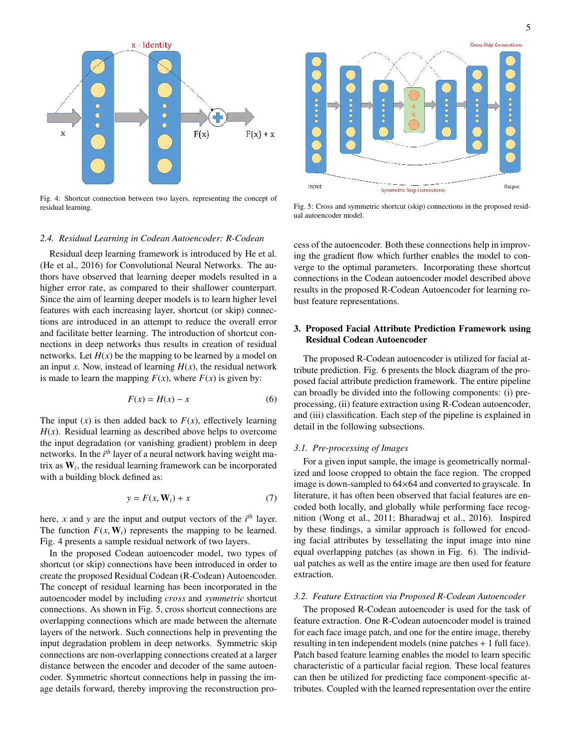

Fig. 4: Shortcut connection between two layers, representing the concept of residual learning.



Fig. 5: Cross and symmetric shortcut (skip) connections in the proposed residual autoencoder model.

# *2.4. Residual Learning in Codean Autoencoder: R-Codean*

Residual deep learning framework is introduced by He et al. (He et al., 2016) for Convolutional Neural Networks. The authors have observed that learning deeper models resulted in a higher error rate, as compared to their shallower counterpart. Since the aim of learning deeper models is to learn higher level features with each increasing layer, shortcut (or skip) connections are introduced in an attempt to reduce the overall error and facilitate better learning. The introduction of shortcut connections in deep networks thus results in creation of residual networks. Let  $H(x)$  be the mapping to be learned by a model on an input *x*. Now, instead of learning  $H(x)$ , the residual network is made to learn the mapping  $F(x)$ , where  $F(x)$  is given by:

$$
F(x) = H(x) - x \tag{6}
$$

The input  $(x)$  is then added back to  $F(x)$ , effectively learning  $H(x)$ . Residual learning as described above helps to overcome the input degradation (or vanishing gradient) problem in deep networks. In the *i th* layer of a neural network having weight matrix as W*<sup>i</sup>* , the residual learning framework can be incorporated with a building block defined as:

$$
y = F(x, \mathbf{W}_i) + x \tag{7}
$$

here, *x* and *y* are the input and output vectors of the *i th* layer. The function  $F(x, W_i)$  represents the mapping to be learned. Fig. 4 presents a sample residual network of two layers.

In the proposed Codean autoencoder model, two types of shortcut (or skip) connections have been introduced in order to create the proposed Residual Codean (R-Codean) Autoencoder. The concept of residual learning has been incorporated in the autoencoder model by including *cross* and *symmetric* shortcut connections. As shown in Fig. 5, cross shortcut connections are overlapping connections which are made between the alternate layers of the network. Such connections help in preventing the input degradation problem in deep networks. Symmetric skip connections are non-overlapping connections created at a larger distance between the encoder and decoder of the same autoencoder. Symmetric shortcut connections help in passing the image details forward, thereby improving the reconstruction process of the autoencoder. Both these connections help in improving the gradient flow which further enables the model to converge to the optimal parameters. Incorporating these shortcut connections in the Codean autoencoder model described above results in the proposed R-Codean Autoencoder for learning robust feature representations.

# 3. Proposed Facial Attribute Prediction Framework using Residual Codean Autoencoder

The proposed R-Codean autoencoder is utilized for facial attribute prediction. Fig. 6 presents the block diagram of the proposed facial attribute prediction framework. The entire pipeline can broadly be divided into the following components: (i) preprocessing, (ii) feature extraction using R-Codean autoencoder, and (iii) classification. Each step of the pipeline is explained in detail in the following subsections.

#### *3.1. Pre-processing of Images*

For a given input sample, the image is geometrically normalized and loose cropped to obtain the face region. The cropped image is down-sampled to 64×64 and converted to grayscale. In literature, it has often been observed that facial features are encoded both locally, and globally while performing face recognition (Wong et al., 2011; Bharadwaj et al., 2016). Inspired by these findings, a similar approach is followed for encoding facial attributes by tessellating the input image into nine equal overlapping patches (as shown in Fig. 6). The individual patches as well as the entire image are then used for feature extraction.

#### *3.2. Feature Extraction via Proposed R-Codean Autoencoder*

The proposed R-Codean autoencoder is used for the task of feature extraction. One R-Codean autoencoder model is trained for each face image patch, and one for the entire image, thereby resulting in ten independent models (nine patches + 1 full face). Patch based feature learning enables the model to learn specific characteristic of a particular facial region. These local features can then be utilized for predicting face component-specific attributes. Coupled with the learned representation over the entire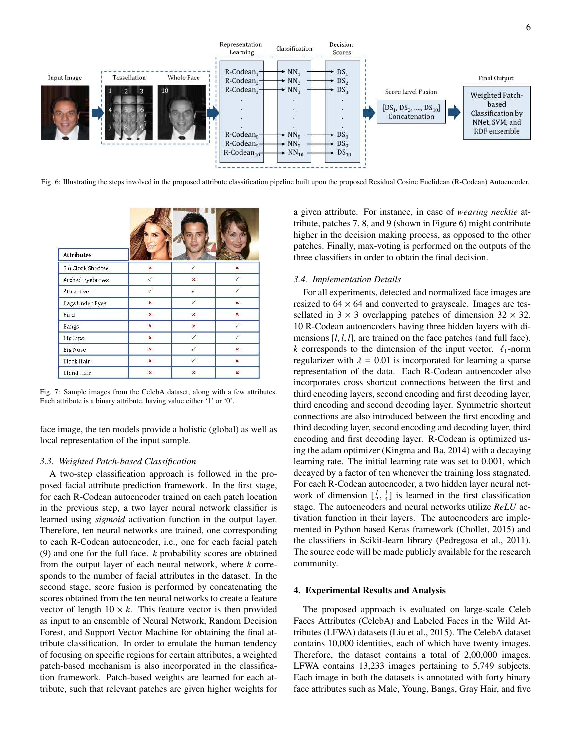

Fig. 6: Illustrating the steps involved in the proposed attribute classification pipeline built upon the proposed Residual Cosine Euclidean (R-Codean) Autoencoder.

| <b>Attributes</b>      |              |                           |                |
|------------------------|--------------|---------------------------|----------------|
| 5 o Clock Shadow       | ×            | ✓                         | ×              |
| Arched Eyebrows        |              | $\boldsymbol{\mathsf{x}}$ |                |
| Attractive             |              | ✓                         |                |
| <b>Bags Under Eyes</b> | $\mathbf{x}$ | √                         | $\mathbf{x}$   |
| Bald                   | ×            | ×                         | ×              |
| <b>Bangs</b>           | x            | ×                         |                |
| <b>Big Lips</b>        | ×            | ✓                         |                |
| <b>Big Nose</b>        | ×            | J                         | x.             |
| Black Hair             | ×            | √.                        | ×              |
| <b>Blond Hair</b>      | ×            | ×                         | $\pmb{\times}$ |

Fig. 7: Sample images from the CelebA dataset, along with a few attributes. Each attribute is a binary attribute, having value either '1' or '0'.

face image, the ten models provide a holistic (global) as well as local representation of the input sample.

### *3.3. Weighted Patch-based Classification*

A two-step classification approach is followed in the proposed facial attribute prediction framework. In the first stage, for each R-Codean autoencoder trained on each patch location in the previous step, a two layer neural network classifier is learned using *sigmoid* activation function in the output layer. Therefore, ten neural networks are trained, one corresponding to each R-Codean autoencoder, i.e., one for each facial patch (9) and one for the full face. *k* probability scores are obtained from the output layer of each neural network, where *k* corresponds to the number of facial attributes in the dataset. In the second stage, score fusion is performed by concatenating the scores obtained from the ten neural networks to create a feature vector of length  $10 \times k$ . This feature vector is then provided as input to an ensemble of Neural Network, Random Decision Forest, and Support Vector Machine for obtaining the final attribute classification. In order to emulate the human tendency of focusing on specific regions for certain attributes, a weighted patch-based mechanism is also incorporated in the classification framework. Patch-based weights are learned for each attribute, such that relevant patches are given higher weights for a given attribute. For instance, in case of *wearing necktie* attribute, patches 7, 8, and 9 (shown in Figure 6) might contribute higher in the decision making process, as opposed to the other patches. Finally, max-voting is performed on the outputs of the three classifiers in order to obtain the final decision.

#### *3.4. Implementation Details*

For all experiments, detected and normalized face images are resized to  $64 \times 64$  and converted to grayscale. Images are tessellated in  $3 \times 3$  overlapping patches of dimension  $32 \times 32$ . 10 R-Codean autoencoders having three hidden layers with dimensions [*l*, *l*, *l*], are trained on the face patches (and full face). *k* corresponds to the dimension of the input vector.  $\ell_1$ -norm regularizer with  $\lambda = 0.01$  is incorporated for learning a sparse representation of the data. Each R-Codean autoencoder also incorporates cross shortcut connections between the first and third encoding layers, second encoding and first decoding layer, third encoding and second decoding layer. Symmetric shortcut connections are also introduced between the first encoding and third decoding layer, second encoding and decoding layer, third encoding and first decoding layer. R-Codean is optimized using the adam optimizer (Kingma and Ba, 2014) with a decaying learning rate. The initial learning rate was set to 0.001, which decayed by a factor of ten whenever the training loss stagnated. For each R-Codean autoencoder, a two hidden layer neural network of dimension  $\left[\frac{l}{2}, \frac{l}{4}\right]$  is learned in the first classification stage. The autoencoders and neural networks utilize *ReLU* activation function in their layers. The autoencoders are implemented in Python based Keras framework (Chollet, 2015) and the classifiers in Scikit-learn library (Pedregosa et al., 2011). The source code will be made publicly available for the research community.

#### 4. Experimental Results and Analysis

The proposed approach is evaluated on large-scale Celeb Faces Attributes (CelebA) and Labeled Faces in the Wild Attributes (LFWA) datasets (Liu et al., 2015). The CelebA dataset contains 10,000 identities, each of which have twenty images. Therefore, the dataset contains a total of 2,00,000 images. LFWA contains 13,233 images pertaining to 5,749 subjects. Each image in both the datasets is annotated with forty binary face attributes such as Male, Young, Bangs, Gray Hair, and five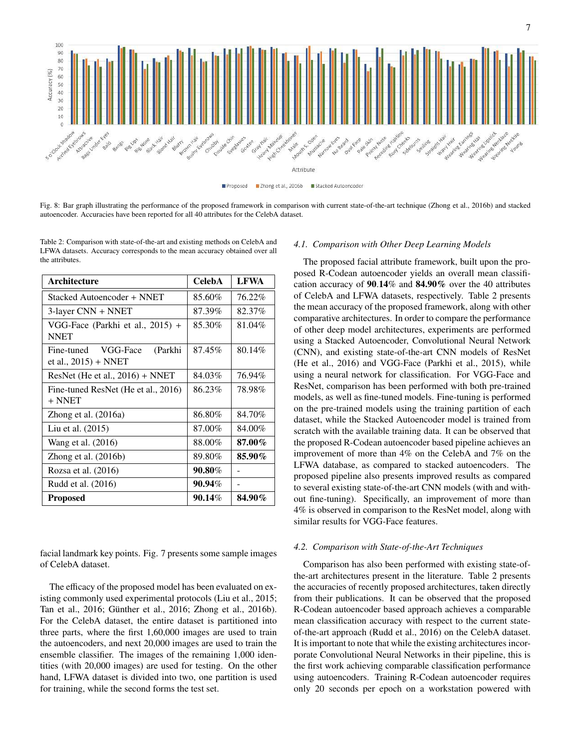

Proposed Zhong et al., 2016b B Stacked Autoencode

Fig. 8: Bar graph illustrating the performance of the proposed framework in comparison with current state-of-the-art technique (Zhong et al., 2016b) and stacked autoencoder. Accuracies have been reported for all 40 attributes for the CelebA dataset.

Table 2: Comparison with state-of-the-art and existing methods on CelebA and LFWA datasets. Accuracy corresponds to the mean accuracy obtained over all the attributes.

| <b>Architecture</b>                                       | <b>CelebA</b> | <b>LFWA</b> |
|-----------------------------------------------------------|---------------|-------------|
| Stacked Autoencoder + NNET                                | 85.60%        | 76.22%      |
| 3-layer CNN + NNET                                        | 87.39%        | 82.37%      |
| VGG-Face (Parkhi et al., 2015) +<br><b>NNET</b>           | 85.30%        | 81.04%      |
| Fine-tuned VGG-Face<br>(Parkhi<br>et al., $2015$ ) + NNET | 87.45%        | 80.14%      |
| ResNet (He et al., 2016) + NNET                           | 84.03%        | 76.94%      |
| Fine-tuned ResNet (He et al., 2016)<br>+ NNET             | 86.23%        | 78.98%      |
| Zhong et al. (2016a)                                      | 86.80%        | 84.70%      |
| Liu et al. (2015)                                         | 87.00%        | 84.00%      |
| Wang et al. (2016)                                        | 88.00%        | 87.00%      |
| Zhong et al. $(2016b)$                                    | 89.80%        | 85.90%      |
| Rozsa et al. (2016)                                       | 90.80%        |             |
| Rudd et al. (2016)                                        | $90.94\%$     |             |
| <b>Proposed</b>                                           | 90.14%        | 84.90%      |

facial landmark key points. Fig. 7 presents some sample images of CelebA dataset.

The efficacy of the proposed model has been evaluated on existing commonly used experimental protocols (Liu et al., 2015; Tan et al., 2016; Günther et al., 2016; Zhong et al., 2016b). For the CelebA dataset, the entire dataset is partitioned into three parts, where the first 1,60,000 images are used to train the autoencoders, and next 20,000 images are used to train the ensemble classifier. The images of the remaining 1,000 identities (with 20,000 images) are used for testing. On the other hand, LFWA dataset is divided into two, one partition is used for training, while the second forms the test set.

## *4.1. Comparison with Other Deep Learning Models*

The proposed facial attribute framework, built upon the proposed R-Codean autoencoder yields an overall mean classification accuracy of 90.14% and 84.90% over the 40 attributes of CelebA and LFWA datasets, respectively. Table 2 presents the mean accuracy of the proposed framework, along with other comparative architectures. In order to compare the performance of other deep model architectures, experiments are performed using a Stacked Autoencoder, Convolutional Neural Network (CNN), and existing state-of-the-art CNN models of ResNet (He et al., 2016) and VGG-Face (Parkhi et al., 2015), while using a neural network for classification. For VGG-Face and ResNet, comparison has been performed with both pre-trained models, as well as fine-tuned models. Fine-tuning is performed on the pre-trained models using the training partition of each dataset, while the Stacked Autoencoder model is trained from scratch with the available training data. It can be observed that the proposed R-Codean autoencoder based pipeline achieves an improvement of more than 4% on the CelebA and 7% on the LFWA database, as compared to stacked autoencoders. The proposed pipeline also presents improved results as compared to several existing state-of-the-art CNN models (with and without fine-tuning). Specifically, an improvement of more than 4% is observed in comparison to the ResNet model, along with similar results for VGG-Face features.

## *4.2. Comparison with State-of-the-Art Techniques*

Comparison has also been performed with existing state-ofthe-art architectures present in the literature. Table 2 presents the accuracies of recently proposed architectures, taken directly from their publications. It can be observed that the proposed R-Codean autoencoder based approach achieves a comparable mean classification accuracy with respect to the current stateof-the-art approach (Rudd et al., 2016) on the CelebA dataset. It is important to note that while the existing architectures incorporate Convolutional Neural Networks in their pipeline, this is the first work achieving comparable classification performance using autoencoders. Training R-Codean autoencoder requires only 20 seconds per epoch on a workstation powered with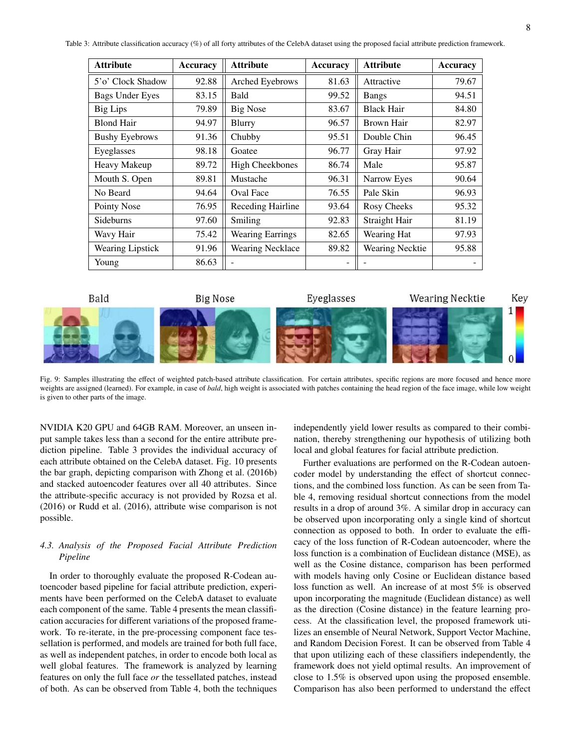Table 3: Attribute classification accuracy (%) of all forty attributes of the CelebA dataset using the proposed facial attribute prediction framework.

| <b>Attribute</b>       | Accuracy | <b>Attribute</b>        | <b>Accuracy</b> | <b>Attribute</b>  | Accuracy |
|------------------------|----------|-------------------------|-----------------|-------------------|----------|
| 5'o' Clock Shadow      | 92.88    | Arched Eyebrows         | 81.63           | Attractive        | 79.67    |
| <b>Bags Under Eyes</b> | 83.15    | <b>Bald</b>             | 99.52           | <b>Bangs</b>      | 94.51    |
| <b>Big Lips</b>        | 79.89    | <b>Big Nose</b>         | 83.67           | <b>Black Hair</b> | 84.80    |
| <b>Blond Hair</b>      | 94.97    | Blurry                  | 96.57           | Brown Hair        | 82.97    |
| <b>Bushy Eyebrows</b>  | 91.36    | Chubby                  | 95.51           | Double Chin       | 96.45    |
| Eyeglasses             | 98.18    | Goatee                  | 96.77           | Gray Hair         | 97.92    |
| Heavy Makeup           | 89.72    | <b>High Cheekbones</b>  | 86.74           | Male              | 95.87    |
| Mouth S. Open          | 89.81    | Mustache                | 96.31           | Narrow Eyes       | 90.64    |
| No Beard               | 94.64    | <b>Oval Face</b>        | 76.55           | Pale Skin         | 96.93    |
| Pointy Nose            | 76.95    | Receding Hairline       | 93.64           | Rosy Cheeks       | 95.32    |
| Sideburns              | 97.60    | Smiling                 | 92.83           | Straight Hair     | 81.19    |
| Wavy Hair              | 75.42    | <b>Wearing Earrings</b> | 82.65           | Wearing Hat       | 97.93    |
| Wearing Lipstick       | 91.96    | <b>Wearing Necklace</b> | 89.82           | Wearing Necktie   | 95.88    |
| Young                  | 86.63    |                         |                 |                   |          |



Fig. 9: Samples illustrating the effect of weighted patch-based attribute classification. For certain attributes, specific regions are more focused and hence more weights are assigned (learned). For example, in case of *bald*, high weight is associated with patches containing the head region of the face image, while low weight is given to other parts of the image.

NVIDIA K20 GPU and 64GB RAM. Moreover, an unseen input sample takes less than a second for the entire attribute prediction pipeline. Table 3 provides the individual accuracy of each attribute obtained on the CelebA dataset. Fig. 10 presents the bar graph, depicting comparison with Zhong et al. (2016b) and stacked autoencoder features over all 40 attributes. Since the attribute-specific accuracy is not provided by Rozsa et al. (2016) or Rudd et al. (2016), attribute wise comparison is not possible.

# *4.3. Analysis of the Proposed Facial Attribute Prediction Pipeline*

In order to thoroughly evaluate the proposed R-Codean autoencoder based pipeline for facial attribute prediction, experiments have been performed on the CelebA dataset to evaluate each component of the same. Table 4 presents the mean classification accuracies for different variations of the proposed framework. To re-iterate, in the pre-processing component face tessellation is performed, and models are trained for both full face, as well as independent patches, in order to encode both local as well global features. The framework is analyzed by learning features on only the full face *or* the tessellated patches, instead of both. As can be observed from Table 4, both the techniques independently yield lower results as compared to their combination, thereby strengthening our hypothesis of utilizing both local and global features for facial attribute prediction.

Further evaluations are performed on the R-Codean autoencoder model by understanding the effect of shortcut connections, and the combined loss function. As can be seen from Table 4, removing residual shortcut connections from the model results in a drop of around 3%. A similar drop in accuracy can be observed upon incorporating only a single kind of shortcut connection as opposed to both. In order to evaluate the efficacy of the loss function of R-Codean autoencoder, where the loss function is a combination of Euclidean distance (MSE), as well as the Cosine distance, comparison has been performed with models having only Cosine or Euclidean distance based loss function as well. An increase of at most 5% is observed upon incorporating the magnitude (Euclidean distance) as well as the direction (Cosine distance) in the feature learning process. At the classification level, the proposed framework utilizes an ensemble of Neural Network, Support Vector Machine, and Random Decision Forest. It can be observed from Table 4 that upon utilizing each of these classifiers independently, the framework does not yield optimal results. An improvement of close to 1.5% is observed upon using the proposed ensemble. Comparison has also been performed to understand the effect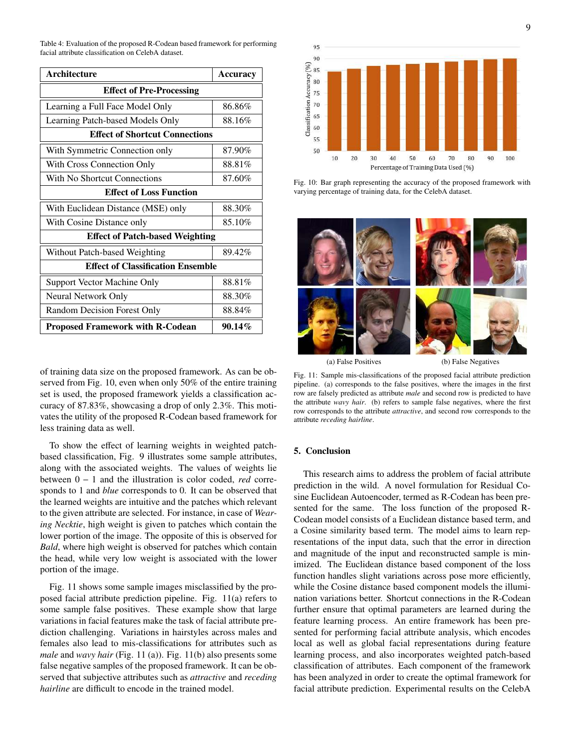Table 4: Evaluation of the proposed R-Codean based framework for performing facial attribute classification on CelebA dataset.

| <b>Architecture</b>                      | Accuracy  |  |  |
|------------------------------------------|-----------|--|--|
| <b>Effect of Pre-Processing</b>          |           |  |  |
| Learning a Full Face Model Only          | 86.86%    |  |  |
| Learning Patch-based Models Only         | 88.16%    |  |  |
| <b>Effect of Shortcut Connections</b>    |           |  |  |
| With Symmetric Connection only           | 87.90%    |  |  |
| With Cross Connection Only               | 88.81%    |  |  |
| With No Shortcut Connections             | 87.60%    |  |  |
| <b>Effect of Loss Function</b>           |           |  |  |
| With Euclidean Distance (MSE) only       | 88.30%    |  |  |
| With Cosine Distance only                | 85.10%    |  |  |
| <b>Effect of Patch-based Weighting</b>   |           |  |  |
| Without Patch-based Weighting            | 89.42%    |  |  |
| <b>Effect of Classification Ensemble</b> |           |  |  |
| <b>Support Vector Machine Only</b>       | 88.81%    |  |  |
| Neural Network Only                      | 88.30%    |  |  |
| <b>Random Decision Forest Only</b>       | 88.84%    |  |  |
| <b>Proposed Framework with R-Codean</b>  | $90.14\%$ |  |  |

of training data size on the proposed framework. As can be observed from Fig. 10, even when only 50% of the entire training set is used, the proposed framework yields a classification accuracy of 87.83%, showcasing a drop of only 2.3%. This motivates the utility of the proposed R-Codean based framework for less training data as well.

To show the effect of learning weights in weighted patchbased classification, Fig. 9 illustrates some sample attributes, along with the associated weights. The values of weights lie between 0 − 1 and the illustration is color coded, *red* corresponds to 1 and *blue* corresponds to 0. It can be observed that the learned weights are intuitive and the patches which relevant to the given attribute are selected. For instance, in case of *Wearing Necktie*, high weight is given to patches which contain the lower portion of the image. The opposite of this is observed for *Bald*, where high weight is observed for patches which contain the head, while very low weight is associated with the lower portion of the image.

Fig. 11 shows some sample images misclassified by the proposed facial attribute prediction pipeline. Fig. 11(a) refers to some sample false positives. These example show that large variations in facial features make the task of facial attribute prediction challenging. Variations in hairstyles across males and females also lead to mis-classifications for attributes such as *male* and *wavy hair* (Fig. 11 (a)). Fig. 11(b) also presents some false negative samples of the proposed framework. It can be observed that subjective attributes such as *attractive* and *receding hairline* are difficult to encode in the trained model.



Fig. 10: Bar graph representing the accuracy of the proposed framework with varying percentage of training data, for the CelebA dataset.



(a) False Positives (b) False Negatives

Fig. 11: Sample mis-classifications of the proposed facial attribute prediction pipeline. (a) corresponds to the false positives, where the images in the first row are falsely predicted as attribute *male* and second row is predicted to have the attribute *wavy hair*. (b) refers to sample false negatives, where the first row corresponds to the attribute *attractive*, and second row corresponds to the attribute *receding hairline*.

## 5. Conclusion

This research aims to address the problem of facial attribute prediction in the wild. A novel formulation for Residual Cosine Euclidean Autoencoder, termed as R-Codean has been presented for the same. The loss function of the proposed R-Codean model consists of a Euclidean distance based term, and a Cosine similarity based term. The model aims to learn representations of the input data, such that the error in direction and magnitude of the input and reconstructed sample is minimized. The Euclidean distance based component of the loss function handles slight variations across pose more efficiently, while the Cosine distance based component models the illumination variations better. Shortcut connections in the R-Codean further ensure that optimal parameters are learned during the feature learning process. An entire framework has been presented for performing facial attribute analysis, which encodes local as well as global facial representations during feature learning process, and also incorporates weighted patch-based classification of attributes. Each component of the framework has been analyzed in order to create the optimal framework for facial attribute prediction. Experimental results on the CelebA